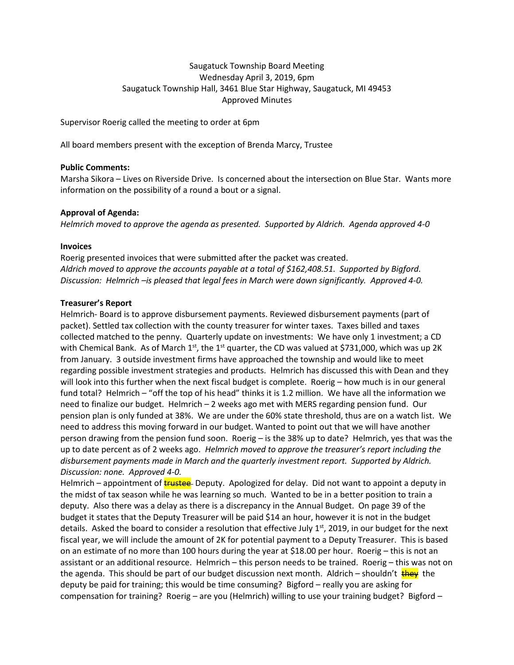# Saugatuck Township Board Meeting Wednesday April 3, 2019, 6pm Saugatuck Township Hall, 3461 Blue Star Highway, Saugatuck, MI 49453 Approved Minutes

Supervisor Roerig called the meeting to order at 6pm

All board members present with the exception of Brenda Marcy, Trustee

### **Public Comments:**

Marsha Sikora – Lives on Riverside Drive. Is concerned about the intersection on Blue Star. Wants more information on the possibility of a round a bout or a signal.

### **Approval of Agenda:**

*Helmrich moved to approve the agenda as presented. Supported by Aldrich. Agenda approved 4-0*

### **Invoices**

Roerig presented invoices that were submitted after the packet was created. *Aldrich moved to approve the accounts payable at a total of \$162,408.51. Supported by Bigford. Discussion: Helmrich –is pleased that legal fees in March were down significantly. Approved 4-0.*

### **Treasurer's Report**

Helmrich- Board is to approve disbursement payments. Reviewed disbursement payments (part of packet). Settled tax collection with the county treasurer for winter taxes. Taxes billed and taxes collected matched to the penny. Quarterly update on investments: We have only 1 investment; a CD with Chemical Bank. As of March 1<sup>st</sup>, the 1<sup>st</sup> quarter, the CD was valued at \$731,000, which was up 2K from January. 3 outside investment firms have approached the township and would like to meet regarding possible investment strategies and products. Helmrich has discussed this with Dean and they will look into this further when the next fiscal budget is complete. Roerig – how much is in our general fund total? Helmrich – "off the top of his head" thinks it is 1.2 million. We have all the information we need to finalize our budget. Helmrich – 2 weeks ago met with MERS regarding pension fund. Our pension plan is only funded at 38%. We are under the 60% state threshold, thus are on a watch list. We need to address this moving forward in our budget. Wanted to point out that we will have another person drawing from the pension fund soon. Roerig – is the 38% up to date? Helmrich, yes that was the up to date percent as of 2 weeks ago. *Helmrich moved to approve the treasurer's report including the disbursement payments made in March and the quarterly investment report. Supported by Aldrich. Discussion: none. Approved 4-0.* 

Helmrich – appointment of **trustee** Deputy. Apologized for delay. Did not want to appoint a deputy in the midst of tax season while he was learning so much. Wanted to be in a better position to train a deputy. Also there was a delay as there is a discrepancy in the Annual Budget. On page 39 of the budget it states that the Deputy Treasurer will be paid \$14 an hour, however it is not in the budget details. Asked the board to consider a resolution that effective July  $1<sup>st</sup>$ , 2019, in our budget for the next fiscal year, we will include the amount of 2K for potential payment to a Deputy Treasurer. This is based on an estimate of no more than 100 hours during the year at \$18.00 per hour. Roerig – this is not an assistant or an additional resource. Helmrich – this person needs to be trained. Roerig – this was not on the agenda. This should be part of our budget discussion next month. Aldrich – shouldn't the the deputy be paid for training; this would be time consuming? Bigford – really you are asking for compensation for training? Roerig – are you (Helmrich) willing to use your training budget? Bigford –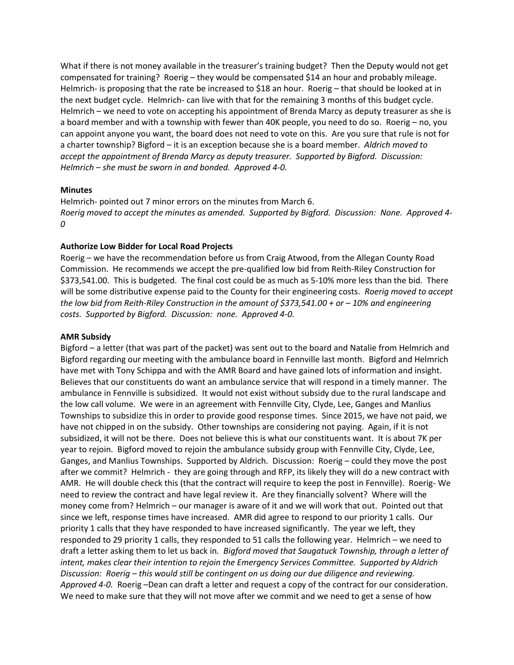What if there is not money available in the treasurer's training budget? Then the Deputy would not get compensated for training? Roerig – they would be compensated \$14 an hour and probably mileage. Helmrich- is proposing that the rate be increased to \$18 an hour. Roerig – that should be looked at in the next budget cycle. Helmrich- can live with that for the remaining 3 months of this budget cycle. Helmrich – we need to vote on accepting his appointment of Brenda Marcy as deputy treasurer as she is a board member and with a township with fewer than 40K people, you need to do so. Roerig – no, you can appoint anyone you want, the board does not need to vote on this. Are you sure that rule is not for a charter township? Bigford – it is an exception because she is a board member. *Aldrich moved to accept the appointment of Brenda Marcy as deputy treasurer. Supported by Bigford. Discussion: Helmrich – she must be sworn in and bonded. Approved 4-0.*

#### **Minutes**

Helmrich- pointed out 7 minor errors on the minutes from March 6. *Roerig moved to accept the minutes as amended. Supported by Bigford. Discussion: None. Approved 4- 0*

#### **Authorize Low Bidder for Local Road Projects**

Roerig – we have the recommendation before us from Craig Atwood, from the Allegan County Road Commission. He recommends we accept the pre-qualified low bid from Reith-Riley Construction for \$373,541.00. This is budgeted. The final cost could be as much as 5-10% more less than the bid. There will be some distributive expense paid to the County for their engineering costs. *Roerig moved to accept the low bid from Reith-Riley Construction in the amount of \$373,541.00 + or – 10% and engineering costs. Supported by Bigford. Discussion: none. Approved 4-0.*

#### **AMR Subsidy**

Bigford – a letter (that was part of the packet) was sent out to the board and Natalie from Helmrich and Bigford regarding our meeting with the ambulance board in Fennville last month. Bigford and Helmrich have met with Tony Schippa and with the AMR Board and have gained lots of information and insight. Believes that our constituents do want an ambulance service that will respond in a timely manner. The ambulance in Fennville is subsidized. It would not exist without subsidy due to the rural landscape and the low call volume. We were in an agreement with Fennville City, Clyde, Lee, Ganges and Manlius Townships to subsidize this in order to provide good response times. Since 2015, we have not paid, we have not chipped in on the subsidy. Other townships are considering not paying. Again, if it is not subsidized, it will not be there. Does not believe this is what our constituents want. It is about 7K per year to rejoin. Bigford moved to rejoin the ambulance subsidy group with Fennville City, Clyde, Lee, Ganges, and Manlius Townships. Supported by Aldrich. Discussion: Roerig – could they move the post after we commit? Helmrich - they are going through and RFP, its likely they will do a new contract with AMR. He will double check this (that the contract will require to keep the post in Fennville). Roerig- We need to review the contract and have legal review it. Are they financially solvent? Where will the money come from? Helmrich – our manager is aware of it and we will work that out. Pointed out that since we left, response times have increased. AMR did agree to respond to our priority 1 calls. Our priority 1 calls that they have responded to have increased significantly. The year we left, they responded to 29 priority 1 calls, they responded to 51 calls the following year. Helmrich – we need to draft a letter asking them to let us back in*. Bigford moved that Saugatuck Township, through a letter of intent, makes clear their intention to rejoin the Emergency Services Committee. Supported by Aldrich Discussion: Roerig – this would still be contingent on us doing our due diligence and reviewing. Approved 4-0.* Roerig –Dean can draft a letter and request a copy of the contract for our consideration. We need to make sure that they will not move after we commit and we need to get a sense of how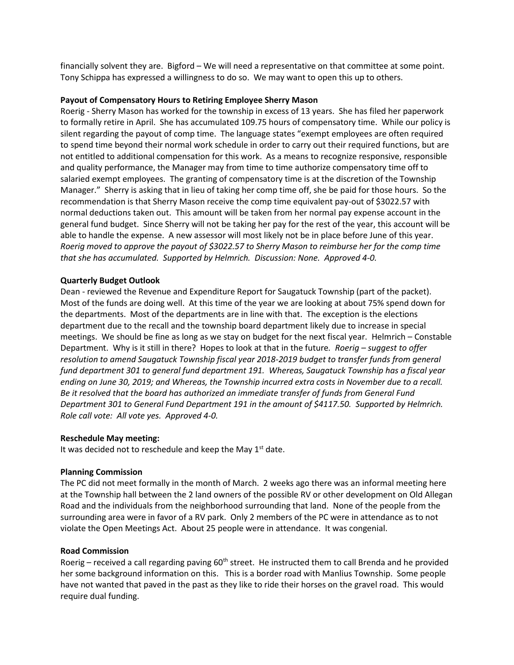financially solvent they are. Bigford – We will need a representative on that committee at some point. Tony Schippa has expressed a willingness to do so. We may want to open this up to others.

### **Payout of Compensatory Hours to Retiring Employee Sherry Mason**

Roerig - Sherry Mason has worked for the township in excess of 13 years. She has filed her paperwork to formally retire in April. She has accumulated 109.75 hours of compensatory time. While our policy is silent regarding the payout of comp time. The language states "exempt employees are often required to spend time beyond their normal work schedule in order to carry out their required functions, but are not entitled to additional compensation for this work. As a means to recognize responsive, responsible and quality performance, the Manager may from time to time authorize compensatory time off to salaried exempt employees. The granting of compensatory time is at the discretion of the Township Manager." Sherry is asking that in lieu of taking her comp time off, she be paid for those hours. So the recommendation is that Sherry Mason receive the comp time equivalent pay-out of \$3022.57 with normal deductions taken out. This amount will be taken from her normal pay expense account in the general fund budget. Since Sherry will not be taking her pay for the rest of the year, this account will be able to handle the expense. A new assessor will most likely not be in place before June of this year. *Roerig moved to approve the payout of \$3022.57 to Sherry Mason to reimburse her for the comp time that she has accumulated. Supported by Helmrich. Discussion: None. Approved 4-0.* 

### **Quarterly Budget Outlook**

Dean - reviewed the Revenue and Expenditure Report for Saugatuck Township (part of the packet). Most of the funds are doing well. At this time of the year we are looking at about 75% spend down for the departments. Most of the departments are in line with that. The exception is the elections department due to the recall and the township board department likely due to increase in special meetings. We should be fine as long as we stay on budget for the next fiscal year. Helmrich – Constable Department. Why is it still in there? Hopes to look at that in the future*. Roerig – suggest to offer resolution to amend Saugatuck Township fiscal year 2018-2019 budget to transfer funds from general fund department 301 to general fund department 191. Whereas, Saugatuck Township has a fiscal year ending on June 30, 2019; and Whereas, the Township incurred extra costs in November due to a recall. Be it resolved that the board has authorized an immediate transfer of funds from General Fund Department 301 to General Fund Department 191 in the amount of \$4117.50. Supported by Helmrich. Role call vote: All vote yes. Approved 4-0.*

#### **Reschedule May meeting:**

It was decided not to reschedule and keep the May  $1<sup>st</sup>$  date.

#### **Planning Commission**

The PC did not meet formally in the month of March. 2 weeks ago there was an informal meeting here at the Township hall between the 2 land owners of the possible RV or other development on Old Allegan Road and the individuals from the neighborhood surrounding that land. None of the people from the surrounding area were in favor of a RV park. Only 2 members of the PC were in attendance as to not violate the Open Meetings Act. About 25 people were in attendance. It was congenial.

#### **Road Commission**

Roerig – received a call regarding paving  $60<sup>th</sup>$  street. He instructed them to call Brenda and he provided her some background information on this. This is a border road with Manlius Township. Some people have not wanted that paved in the past as they like to ride their horses on the gravel road. This would require dual funding.